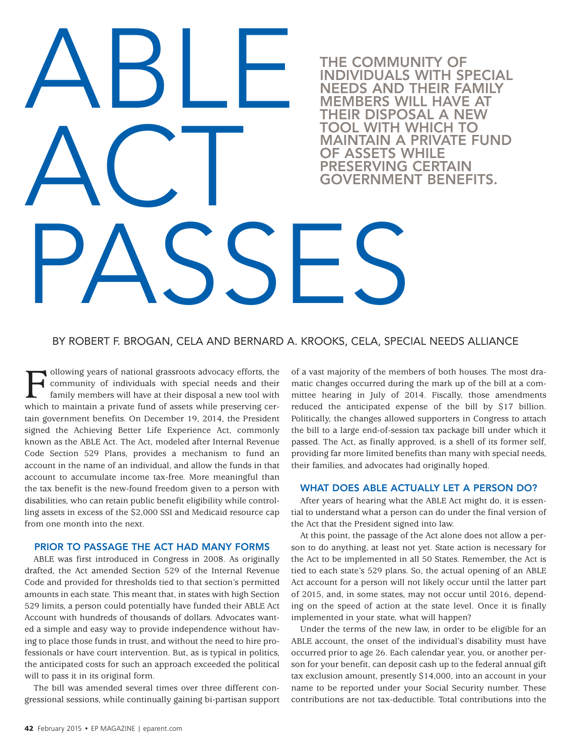# ABLE ACT PASSES THE COMMUNITY OF INDIVIDUALS WITH SPECIAL NEEDS AND THEIR FAMILY MEMBERS WILL HAVE AT THEIR DISPOSAL A NEW TOOL WITH WHICH TO MAINTAIN A PRIVATE FUND OF ASSETS WHILE **ESERVING CERTAIN** VERNMENT BENEFITS.

### BY ROBERT F. BROGAN, CELA AND BERNARD A. KROOKS, CELA, SPECIAL NEEDS ALLIANCE

Following years of national grassroots advocacy efforts, the community of individuals with special needs and their family members will have at their disposal a new tool with which to maintain a private fund of assets while ollowing years of national grassroots advocacy efforts, the community of individuals with special needs and their family members will have at their disposal a new tool with tain government benefits. On December 19, 2014, the President signed the Achieving Better Life Experience Act, commonly known as the ABLE Act. The Act, modeled after Internal Revenue Code Section 529 Plans, provides a mechanism to fund an account in the name of an individual, and allow the funds in that account to accumulate income tax-free. More meaningful than the tax benefit is the new-found freedom given to a person with disabilities, who can retain public benefit eligibility while controlling assets in excess of the \$2,000 SSI and Medicaid resource cap from one month into the next.

#### PRIOR TO PASSAGE THE ACT HAD MANY FORMS

ABLE was first introduced in Congress in 2008. As originally drafted, the Act amended Section 529 of the Internal Revenue Code and provided for thresholds tied to that section's permitted amounts in each state. This meant that, in states with high Section 529 limits, a person could potentially have funded their ABLE Act Account with hundreds of thousands of dollars. Advocates wanted a simple and easy way to provide independence without having to place those funds in trust, and without the need to hire professionals or have court intervention. But, as is typical in politics, the anticipated costs for such an approach exceeded the political will to pass it in its original form.

The bill was amended several times over three different congressional sessions, while continually gaining bi-partisan support of a vast majority of the members of both houses. The most dramatic changes occurred during the mark up of the bill at a committee hearing in July of 2014. Fiscally, those amendments reduced the anticipated expense of the bill by \$17 billion. Politically, the changes allowed supporters in Congress to attach the bill to a large end-of-session tax package bill under which it passed. The Act, as finally approved, is a shell of its former self, providing far more limited benefits than many with special needs, their families, and advocates had originally hoped.

#### WHAT DOES ABLE ACTUALLY LET A PERSON DO?

After years of hearing what the ABLE Act might do, it is essential to understand what a person can do under the final version of the Act that the President signed into law.

At this point, the passage of the Act alone does not allow a person to do anything, at least not yet. State action is necessary for the Act to be implemented in all 50 States. Remember, the Act is tied to each state's 529 plans. So, the actual opening of an ABLE Act account for a person will not likely occur until the latter part of 2015, and, in some states, may not occur until 2016, depending on the speed of action at the state level. Once it is finally implemented in your state, what will happen?

Ed the pontical son for your benent, can deposit cash up to the rederar annual gift<br>tax exclusion amount, presently \$14,000, into an account in your Under the terms of the new law, in order to be eligible for an ABLE account, the onset of the individual's disability must have occurred prior to age 26. Each calendar year, you, or another person for your benefit, can deposit cash up to the federal annual gift name to be reported under your Social Security number. These contributions are not tax-deductible. Total contributions into the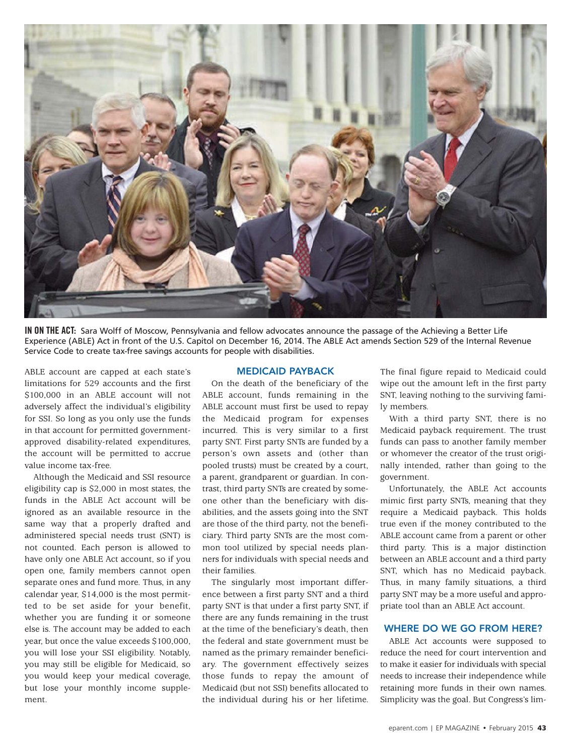

**IN ON THE ACT:** Sara Wolff of Moscow, Pennsylvania and fellow advocates announce the passage of the Achieving a Better Life Experience (ABLE) Act in front of the U.S. Capitol on December 16, 2014. The ABLE Act amends Section 529 of the Internal Revenue Service Code to create tax-free savings accounts for people with disabilities.

ABLE account are capped at each state's limitations for 529 accounts and the first \$100,000 in an ABLE account will not adversely affect the individual's eligibility for SSI. So long as you only use the funds in that account for permitted governmentapproved disability-related expenditures, the account will be permitted to accrue value income tax-free.

Although the Medicaid and SSI resource eligibility cap is \$2,000 in most states, the funds in the ABLE Act account will be ignored as an available resource in the same way that a properly drafted and administered special needs trust (SNT) is not counted. Each person is allowed to have only one ABLE Act account, so if you open one, family members cannot open separate ones and fund more. Thus, in any calendar year, \$14,000 is the most permitted to be set aside for your benefit, whether you are funding it or someone else is. The account may be added to each year, but once the value exceeds \$100,000, you will lose your SSI eligibility. Notably, you may still be eligible for Medicaid, so you would keep your medical coverage, but lose your monthly income supplement.

#### MEDICAID PAYBACK

On the death of the beneficiary of the ABLE account, funds remaining in the ABLE account must first be used to repay the Medicaid program for expenses incurred. This is very similar to a first party SNT. First party SNTs are funded by a person's own assets and (other than pooled trusts) must be created by a court, a parent, grandparent or guardian. In contrast, third party SNTs are created by someone other than the beneficiary with disabilities, and the assets going into the SNT are those of the third party, not the beneficiary. Third party SNTs are the most common tool utilized by special needs planners for individuals with special needs and their families.

The singularly most important difference between a first party SNT and a third party SNT is that under a first party SNT, if there are any funds remaining in the trust at the time of the beneficiary's death, then the federal and state government must be named as the primary remainder beneficiary. The government effectively seizes those funds to repay the amount of Medicaid (but not SSI) benefits allocated to the individual during his or her lifetime.

The final figure repaid to Medicaid could wipe out the amount left in the first party SNT, leaving nothing to the surviving family members.

With a third party SNT, there is no Medicaid payback requirement. The trust funds can pass to another family member or whomever the creator of the trust originally intended, rather than going to the government.

Unfortunately, the ABLE Act accounts mimic first party SNTs, meaning that they require a Medicaid payback. This holds true even if the money contributed to the ABLE account came from a parent or other third party. This is a major distinction between an ABLE account and a third party SNT, which has no Medicaid payback. Thus, in many family situations, a third party SNT may be a more useful and appropriate tool than an ABLE Act account.

#### WHERE DO WE GO FROM HERE?

ABLE Act accounts were supposed to reduce the need for court intervention and to make it easier for individuals with special needs to increase their independence while retaining more funds in their own names. Simplicity was the goal. But Congress's lim-